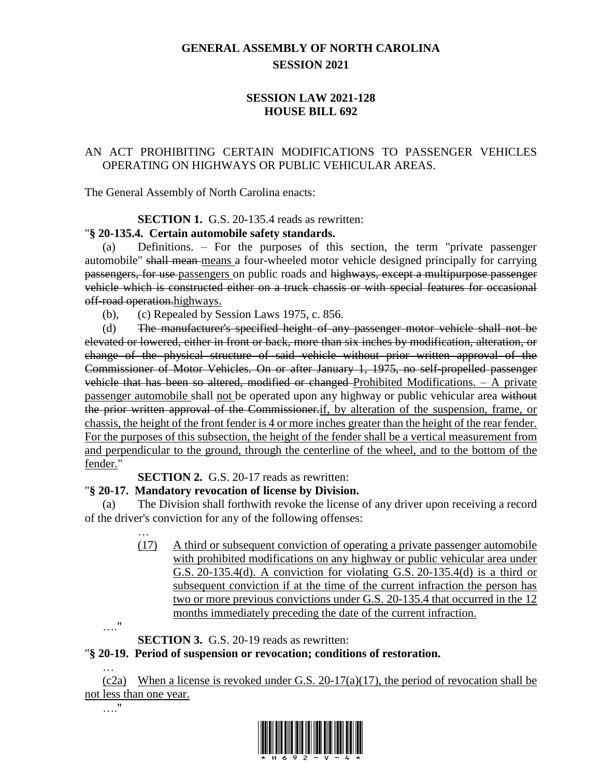# **GENERAL ASSEMBLY OF NORTH CAROLINA SESSION 2021**

## **SESSION LAW 2021-128 HOUSE BILL 692**

## AN ACT PROHIBITING CERTAIN MODIFICATIONS TO PASSENGER VEHICLES OPERATING ON HIGHWAYS OR PUBLIC VEHICULAR AREAS.

The General Assembly of North Carolina enacts:

#### **SECTION 1.** G.S. 20-135.4 reads as rewritten:

#### "**§ 20-135.4. Certain automobile safety standards.**

(a) Definitions. – For the purposes of this section, the term "private passenger automobile" shall mean means a four-wheeled motor vehicle designed principally for carrying passengers, for use passengers on public roads and highways, except a multipurpose passenger vehicle which is constructed either on a truck chassis or with special features for occasional off-road operation.highways.

(b), (c) Repealed by Session Laws 1975, c. 856.

(d) The manufacturer's specified height of any passenger motor vehicle shall not be elevated or lowered, either in front or back, more than six inches by modification, alteration, or change of the physical structure of said vehicle without prior written approval of the Commissioner of Motor Vehicles. On or after January 1, 1975, no self-propelled passenger vehicle that has been so altered, modified or changed Prohibited Modifications. – A private passenger automobile shall not be operated upon any highway or public vehicular area without the prior written approval of the Commissioner.if, by alteration of the suspension, frame, or chassis, the height of the front fender is 4 or more inches greater than the height of the rear fender. For the purposes of this subsection, the height of the fender shall be a vertical measurement from and perpendicular to the ground, through the centerline of the wheel, and to the bottom of the fender."

**SECTION 2.** G.S. 20-17 reads as rewritten:

### "**§ 20-17. Mandatory revocation of license by Division.**

(a) The Division shall forthwith revoke the license of any driver upon receiving a record of the driver's conviction for any of the following offenses:

> (17) A third or subsequent conviction of operating a private passenger automobile with prohibited modifications on any highway or public vehicular area under G.S. 20-135.4(d). A conviction for violating G.S. 20-135.4(d) is a third or subsequent conviction if at the time of the current infraction the person has two or more previous convictions under G.S. 20-135.4 that occurred in the 12 months immediately preceding the date of the current infraction.

…."

…."

…

**SECTION 3.** G.S. 20-19 reads as rewritten:

# "**§ 20-19. Period of suspension or revocation; conditions of restoration.**

… (c2a) When a license is revoked under G.S. 20-17(a)(17), the period of revocation shall be not less than one year.